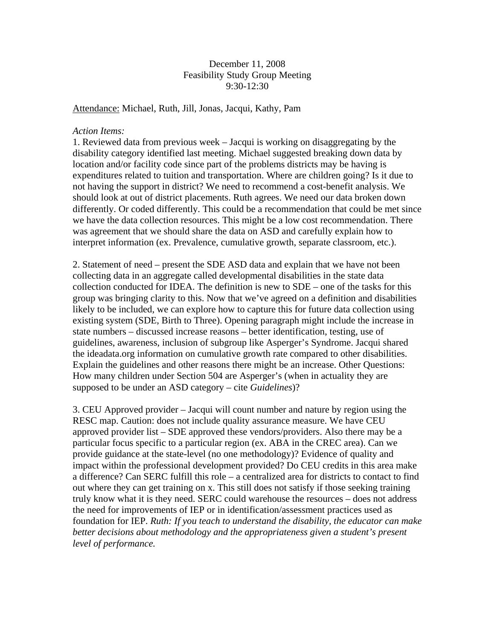December 11, 2008 Feasibility Study Group Meeting 9:30-12:30

Attendance: Michael, Ruth, Jill, Jonas, Jacqui, Kathy, Pam

## *Action Items:*

1. Reviewed data from previous week – Jacqui is working on disaggregating by the disability category identified last meeting. Michael suggested breaking down data by location and/or facility code since part of the problems districts may be having is expenditures related to tuition and transportation. Where are children going? Is it due to not having the support in district? We need to recommend a cost-benefit analysis. We should look at out of district placements. Ruth agrees. We need our data broken down differently. Or coded differently. This could be a recommendation that could be met since we have the data collection resources. This might be a low cost recommendation. There was agreement that we should share the data on ASD and carefully explain how to interpret information (ex. Prevalence, cumulative growth, separate classroom, etc.).

2. Statement of need – present the SDE ASD data and explain that we have not been collecting data in an aggregate called developmental disabilities in the state data collection conducted for IDEA. The definition is new to SDE – one of the tasks for this group was bringing clarity to this. Now that we've agreed on a definition and disabilities likely to be included, we can explore how to capture this for future data collection using existing system (SDE, Birth to Three). Opening paragraph might include the increase in state numbers – discussed increase reasons – better identification, testing, use of guidelines, awareness, inclusion of subgroup like Asperger's Syndrome. Jacqui shared the ideadata.org information on cumulative growth rate compared to other disabilities. Explain the guidelines and other reasons there might be an increase. Other Questions: How many children under Section 504 are Asperger's (when in actuality they are supposed to be under an ASD category – cite *Guidelines*)?

3. CEU Approved provider – Jacqui will count number and nature by region using the RESC map. Caution: does not include quality assurance measure. We have CEU approved provider list – SDE approved these vendors/providers. Also there may be a particular focus specific to a particular region (ex. ABA in the CREC area). Can we provide guidance at the state-level (no one methodology)? Evidence of quality and impact within the professional development provided? Do CEU credits in this area make a difference? Can SERC fulfill this role – a centralized area for districts to contact to find out where they can get training on x. This still does not satisfy if those seeking training truly know what it is they need. SERC could warehouse the resources – does not address the need for improvements of IEP or in identification/assessment practices used as foundation for IEP. *Ruth: If you teach to understand the disability, the educator can make better decisions about methodology and the appropriateness given a student's present level of performance.*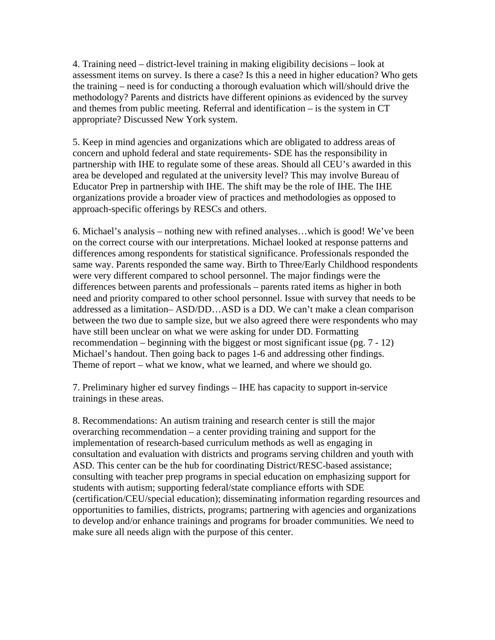4. Training need – district-level training in making eligibility decisions – look at assessment items on survey. Is there a case? Is this a need in higher education? Who gets the training – need is for conducting a thorough evaluation which will/should drive the methodology? Parents and districts have different opinions as evidenced by the survey and themes from public meeting. Referral and identification – is the system in CT appropriate? Discussed New York system.

5. Keep in mind agencies and organizations which are obligated to address areas of concern and uphold federal and state requirements- SDE has the responsibility in partnership with IHE to regulate some of these areas. Should all CEU's awarded in this area be developed and regulated at the university level? This may involve Bureau of Educator Prep in partnership with IHE. The shift may be the role of IHE. The IHE organizations provide a broader view of practices and methodologies as opposed to approach-specific offerings by RESCs and others.

6. Michael's analysis – nothing new with refined analyses…which is good! We've been on the correct course with our interpretations. Michael looked at response patterns and differences among respondents for statistical significance. Professionals responded the same way. Parents responded the same way. Birth to Three/Early Childhood respondents were very different compared to school personnel. The major findings were the differences between parents and professionals – parents rated items as higher in both need and priority compared to other school personnel. Issue with survey that needs to be addressed as a limitation– ASD/DD…ASD is a DD. We can't make a clean comparison between the two due to sample size, but we also agreed there were respondents who may have still been unclear on what we were asking for under DD. Formatting recommendation – beginning with the biggest or most significant issue (pg. 7 - 12) Michael's handout. Then going back to pages 1-6 and addressing other findings. Theme of report – what we know, what we learned, and where we should go.

7. Preliminary higher ed survey findings – IHE has capacity to support in-service trainings in these areas.

8. Recommendations: An autism training and research center is still the major overarching recommendation – a center providing training and support for the implementation of research-based curriculum methods as well as engaging in consultation and evaluation with districts and programs serving children and youth with ASD. This center can be the hub for coordinating District/RESC-based assistance; consulting with teacher prep programs in special education on emphasizing support for students with autism; supporting federal/state compliance efforts with SDE (certification/CEU/special education); disseminating information regarding resources and opportunities to families, districts, programs; partnering with agencies and organizations to develop and/or enhance trainings and programs for broader communities. We need to make sure all needs align with the purpose of this center.